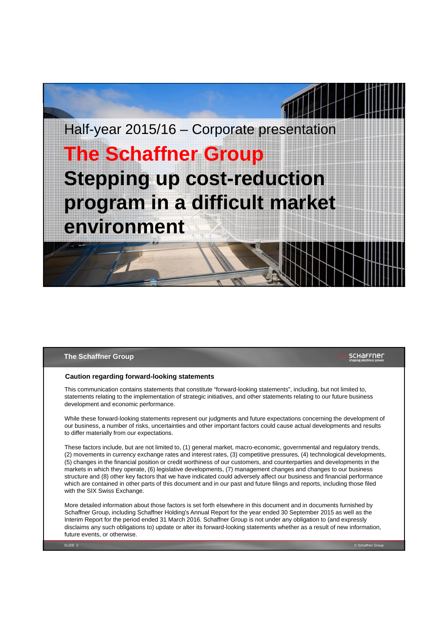

#### **The Schaffner Group**

## **SCHAFFNEL**

#### **Caution regarding forward-looking statements**

This communication contains statements that constitute "forward-looking statements", including, but not limited to, statements relating to the implementation of strategic initiatives, and other statements relating to our future business development and economic performance.

While these forward-looking statements represent our judgments and future expectations concerning the development of our business, a number of risks, uncertainties and other important factors could cause actual developments and results to differ materially from our expectations.

These factors include, but are not limited to, (1) general market, macro-economic, governmental and regulatory trends, (2) movements in currency exchange rates and interest rates, (3) competitive pressures, (4) technological developments, (5) changes in the financial position or credit worthiness of our customers, and counterparties and developments in the markets in which they operate, (6) legislative developments, (7) management changes and changes to our business structure and (8) other key factors that we have indicated could adversely affect our business and financial performance which are contained in other parts of this document and in our past and future filings and reports, including those filed with the SIX Swiss Exchange.

More detailed information about those factors is set forth elsewhere in this document and in documents furnished by Schaffner Group, including Schaffner Holding's Annual Report for the year ended 30 September 2015 as well as the Interim Report for the period ended 31 March 2016. Schaffner Group is not under any obligation to (and expressly disclaims any such obligations to) update or alter its forward-looking statements whether as a result of new information, future events, or otherwise.

SLIDE 2 © Schaffner Group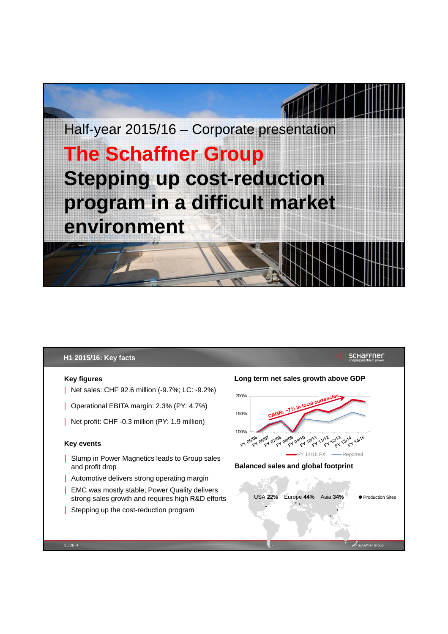

# **H1 2015/16: Key facts**

## **Key figures**

- | Net sales: CHF 92.6 million (-9.7%; LC: -9.2%)
- | Operational EBITA margin: 2.3% (PY: 4.7%)
- | Net profit: CHF -0.3 million (PY: 1.9 million)

#### **Key events**

SLIDE 4

- | Slump in Power Magnetics leads to Group sales and profit drop
- | Automotive delivers strong operating margin
- | EMC was mostly stable; Power Quality delivers strong sales growth and requires high R&D efforts
- | Stepping up the cost-reduction program

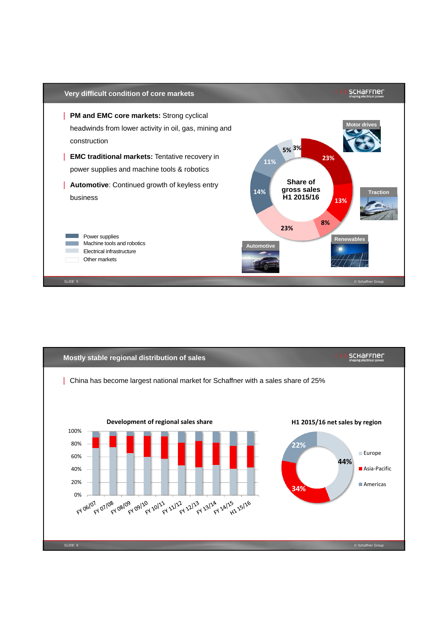

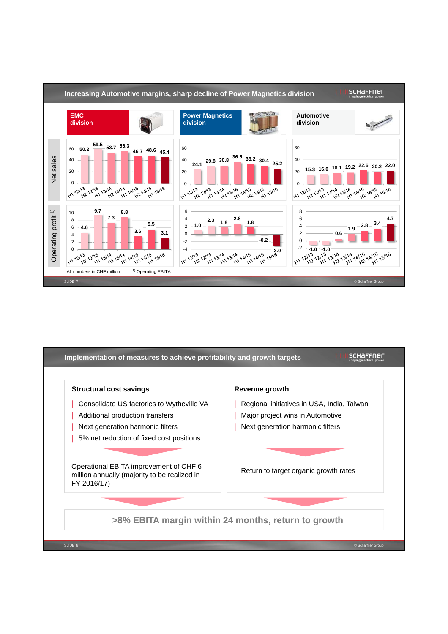

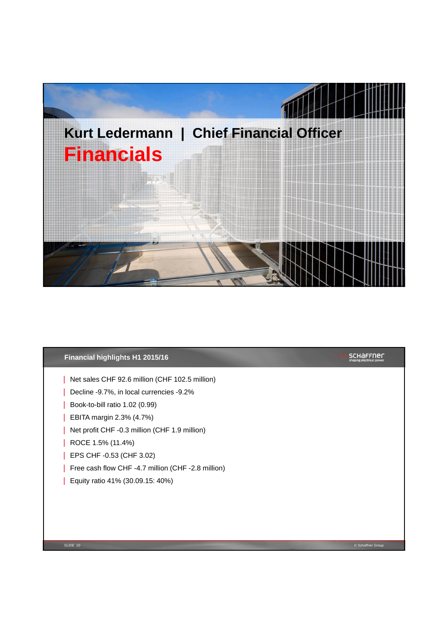

# **Financial highlights H1 2015/16**

- | Net sales CHF 92.6 million (CHF 102.5 million)
- | Decline -9.7%, in local currencies -9.2%
- | Book-to-bill ratio 1.02 (0.99)
- | EBITA margin 2.3% (4.7%)
- | Net profit CHF -0.3 million (CHF 1.9 million)
- | ROCE 1.5% (11.4%)
- | EPS CHF -0.53 (CHF 3.02)
- | Free cash flow CHF -4.7 million (CHF -2.8 million)
- | Equity ratio 41% (30.09.15: 40%)

SLIDE 10 © Schaffner Group

**SCHAFFNER**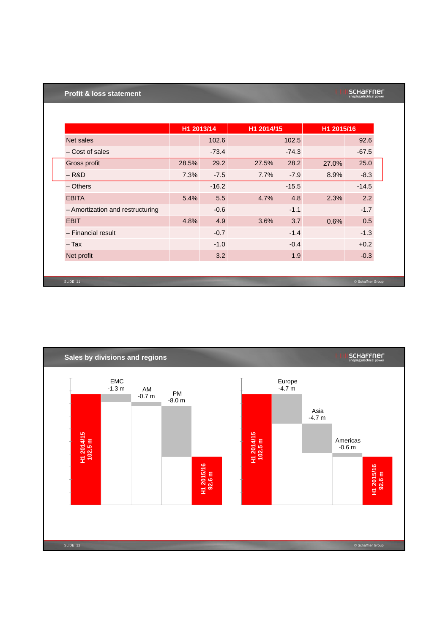# **Profit & loss statement**

| schaffner                |
|--------------------------|
| shaping electrical power |

|                                  | H1 2013/14 |         | H1 2014/15 |         | H1 2015/16 |                   |
|----------------------------------|------------|---------|------------|---------|------------|-------------------|
| Net sales                        |            | 102.6   |            | 102.5   |            | 92.6              |
| - Cost of sales                  |            | $-73.4$ |            | $-74.3$ |            | $-67.5$           |
| Gross profit                     | 28.5%      | 29.2    | 27.5%      | 28.2    | 27.0%      | 25.0              |
| $-R&D$                           | 7.3%       | $-7.5$  | 7.7%       | $-7.9$  | 8.9%       | $-8.3$            |
| $-$ Others                       |            | $-16.2$ |            | $-15.5$ |            | $-14.5$           |
| <b>EBITA</b>                     | 5.4%       | 5.5     | 4.7%       | 4.8     | 2.3%       | 2.2               |
| - Amortization and restructuring |            | $-0.6$  |            | $-1.1$  |            | $-1.7$            |
| <b>EBIT</b>                      | 4.8%       | 4.9     | 3.6%       | 3.7     | 0.6%       | 0.5               |
| - Financial result               |            | $-0.7$  |            | $-1.4$  |            | $-1.3$            |
| $-$ Tax                          |            | $-1.0$  |            | $-0.4$  |            | $+0.2$            |
| Net profit                       |            | 3.2     |            | 1.9     |            | $-0.3$            |
|                                  |            |         |            |         |            |                   |
| SLIDE 11                         |            |         |            |         |            | © Schaffner Group |

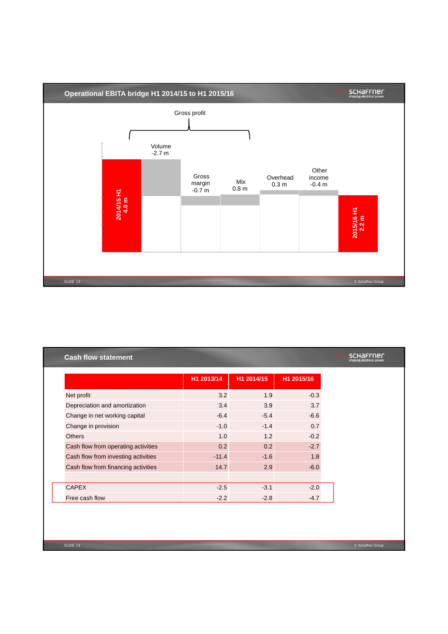

|                                     | H1 2013/14 | H1 2014/15 | H1 2015/16 |  |
|-------------------------------------|------------|------------|------------|--|
| Net profit                          | 3.2        | 1.9        | $-0.3$     |  |
| Depreciation and amortization       | 3.4        | 3.9        | 3.7        |  |
| Change in net working capital       | $-6.4$     | $-5.4$     | $-6.6$     |  |
| Change in provision                 | $-1.0$     | $-1.4$     | 0.7        |  |
| <b>Others</b>                       | 1.0        | 1.2        | $-0.2$     |  |
| Cash flow from operating activities | 0.2        | 0.2        | $-2.7$     |  |
| Cash flow from investing activities | $-11.4$    | $-1.6$     | 1.8        |  |
| Cash flow from financing activities | 14.7       | 2.9        | $-6.0$     |  |
| <b>CAPEX</b>                        | $-2.5$     | $-3.1$     | $-2.0$     |  |
| Free cash flow                      | $-2.2$     | $-2.8$     | $-4.7$     |  |
|                                     |            |            |            |  |
|                                     |            |            |            |  |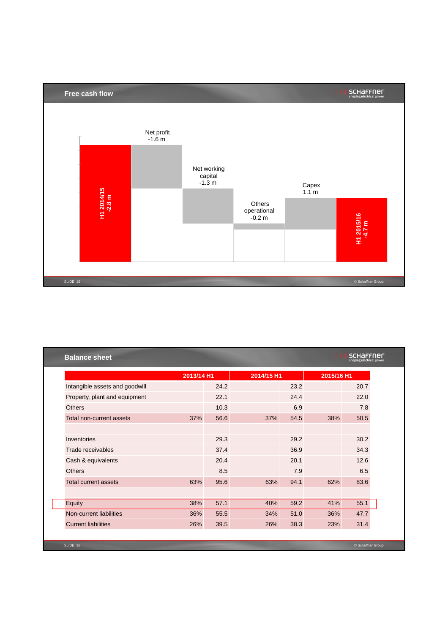

|                                | 2013/14 H1 |      | 2014/15 H1 |      | 2015/16 H1 |      |
|--------------------------------|------------|------|------------|------|------------|------|
| Intangible assets and goodwill |            | 24.2 |            | 23.2 |            | 20.7 |
| Property, plant and equipment  |            | 22.1 |            | 24.4 |            | 22.0 |
| <b>Others</b>                  |            | 10.3 |            | 6.9  |            | 7.8  |
| Total non-current assets       | 37%        | 56.6 | 37%        | 54.5 | 38%        | 50.5 |
|                                |            |      |            |      |            |      |
| Inventories                    |            | 29.3 |            | 29.2 |            | 30.2 |
| Trade receivables              |            | 37.4 |            | 36.9 |            | 34.3 |
| Cash & equivalents             |            | 20.4 |            | 20.1 |            | 12.6 |
| <b>Others</b>                  |            | 8.5  |            | 7.9  |            | 6.5  |
| <b>Total current assets</b>    | 63%        | 95.6 | 63%        | 94.1 | 62%        | 83.6 |
|                                |            |      |            |      |            |      |
| Equity                         | 38%        | 57.1 | 40%        | 59.2 | 41%        | 55.1 |
| Non-current liabilities        | 36%        | 55.5 | 34%        | 51.0 | 36%        | 47.7 |
| <b>Current liabilities</b>     | 26%        | 39.5 | 26%        | 38.3 | 23%        | 31.4 |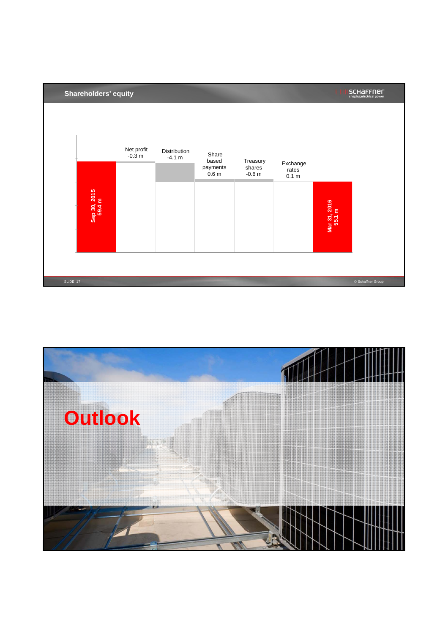

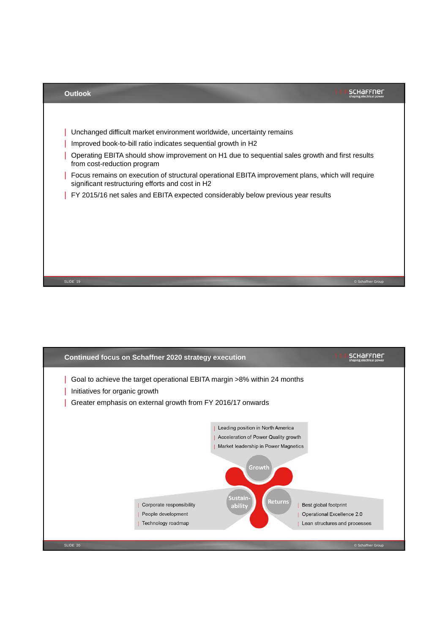